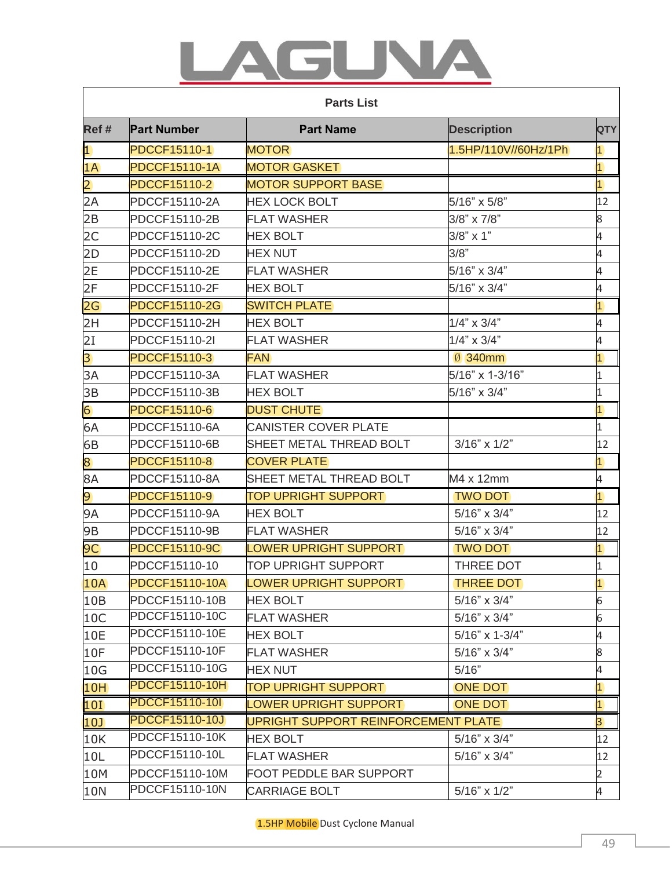## UNA 51 A

|                | <b>Parts List</b>     |                                     |                      |                |  |
|----------------|-----------------------|-------------------------------------|----------------------|----------------|--|
| Ref#           | <b>Part Number</b>    | <b>Part Name</b>                    | <b>Description</b>   | <b>QTY</b>     |  |
| $\vert$ 1      | <b>PDCCF15110-1</b>   | <b>MOTOR</b>                        | 1.5HP/110V//60Hz/1Ph | $\overline{1}$ |  |
| 1A             | <b>PDCCF15110-1A</b>  | <b>MOTOR GASKET</b>                 |                      | $\overline{1}$ |  |
| $\overline{2}$ | <b>PDCCF15110-2</b>   | <b>MOTOR SUPPORT BASE</b>           |                      | $\overline{1}$ |  |
| 2A             | PDCCF15110-2A         | <b>HEX LOCK BOLT</b>                | 5/16" x 5/8"         | 12             |  |
| 2B             | PDCCF15110-2B         | <b>FLAT WASHER</b>                  | 3/8" x 7/8"          | 8              |  |
| 2C             | PDCCF15110-2C         | <b>HEX BOLT</b>                     | $3/8$ " x 1"         | 4              |  |
| 2D             | PDCCF15110-2D         | <b>HEX NUT</b>                      | 3/8"                 | 4              |  |
| 2E             | PDCCF15110-2E         | <b>FLAT WASHER</b>                  | 5/16" x 3/4"         | 4              |  |
| 2F             | PDCCF15110-2F         | <b>HEX BOLT</b>                     | 5/16" x 3/4"         | 4              |  |
| 2G             | <b>PDCCF15110-2G</b>  | <b>SWITCH PLATE</b>                 |                      | $\overline{1}$ |  |
| 2H             | PDCCF15110-2H         | <b>HEX BOLT</b>                     | $1/4$ " x $3/4$ "    | 4              |  |
| 2I             | PDCCF15110-2I         | <b>FLAT WASHER</b>                  | $1/4$ " x $3/4$ "    | 4              |  |
| 3              | PDCCF15110-3          | <b>FAN</b>                          | Ø 340mm              | $\overline{1}$ |  |
| 3A             | PDCCF15110-3A         | <b>FLAT WASHER</b>                  | 5/16" x 1-3/16"      | $\mathbf 1$    |  |
| 3B             | PDCCF15110-3B         | <b>HEX BOLT</b>                     | 5/16" x 3/4"         | 1              |  |
| 6              | <b>PDCCF15110-6</b>   | <b>DUST CHUTE</b>                   |                      | $\overline{1}$ |  |
| 6A             | PDCCF15110-6A         | <b>CANISTER COVER PLATE</b>         |                      | $\overline{1}$ |  |
| 6B             | PDCCF15110-6B         | SHEET METAL THREAD BOLT             | $3/16" \times 1/2"$  | 12             |  |
| 8              | <b>PDCCF15110-8</b>   | <b>COVER PLATE</b>                  |                      | $\overline{1}$ |  |
| 8A             | PDCCF15110-8A         | SHEET METAL THREAD BOLT             | M4 x 12mm            | 4              |  |
| $\overline{9}$ | <b>PDCCF15110-9</b>   | <b>TOP UPRIGHT SUPPORT</b>          | <b>TWO DOT</b>       | $\overline{1}$ |  |
| <b>9A</b>      | PDCCF15110-9A         | <b>HEX BOLT</b>                     | $5/16" \times 3/4"$  | 12             |  |
| 9Β             | PDCCF15110-9B         | <b>FLAT WASHER</b>                  | $5/16" \times 3/4"$  | 12             |  |
| 9C             | <b>PDCCF15110-9C</b>  | <b>LOWER UPRIGHT SUPPORT</b>        | <b>TWO DOT</b>       | $\overline{1}$ |  |
| 10             | PDCCF15110-10         | TOP UPRIGHT SUPPORT                 | THREE DOT            | $\mathbf 1$    |  |
| <b>10A</b>     | <b>PDCCF15110-10A</b> | <b>LOWER UPRIGHT SUPPORT</b>        | <b>THREE DOT</b>     | $\overline{1}$ |  |
| 10B            | PDCCF15110-10B        | <b>HEX BOLT</b>                     | $5/16" \times 3/4"$  | 6              |  |
| 10C            | PDCCF15110-10C        | <b>FLAT WASHER</b>                  | $5/16" \times 3/4"$  | 6              |  |
| 10E            | PDCCF15110-10E        | <b>HEX BOLT</b>                     | 5/16" x 1-3/4"       | 4              |  |
| 10F            | PDCCF15110-10F        | <b>FLAT WASHER</b>                  | $5/16" \times 3/4"$  | 8              |  |
| 10G            | PDCCF15110-10G        | <b>HEX NUT</b>                      | 5/16"                | 4              |  |
| 10H            | <b>PDCCF15110-10H</b> | <b>TOP UPRIGHT SUPPORT</b>          | <b>ONE DOT</b>       | $\overline{1}$ |  |
| <b>10I</b>     | <b>PDCCF15110-10I</b> | <b>LOWER UPRIGHT SUPPORT</b>        | <b>ONE DOT</b>       | $\overline{1}$ |  |
| 10J            | <b>PDCCF15110-10J</b> | UPRIGHT SUPPORT REINFORCEMENT PLATE |                      | $\overline{3}$ |  |
| 10K            | PDCCF15110-10K        | <b>HEX BOLT</b>                     | $5/16" \times 3/4"$  | 12             |  |
| 10L            | PDCCF15110-10L        | <b>FLAT WASHER</b>                  | $5/16" \times 3/4"$  | 12             |  |
| 10M            | PDCCF15110-10M        | FOOT PEDDLE BAR SUPPORT             |                      | $\overline{2}$ |  |
| 10N            | PDCCF15110-10N        | <b>CARRIAGE BOLT</b>                | $5/16" \times 1/2"$  | 4              |  |

1.5HP Mobile Dust Cyclone Manual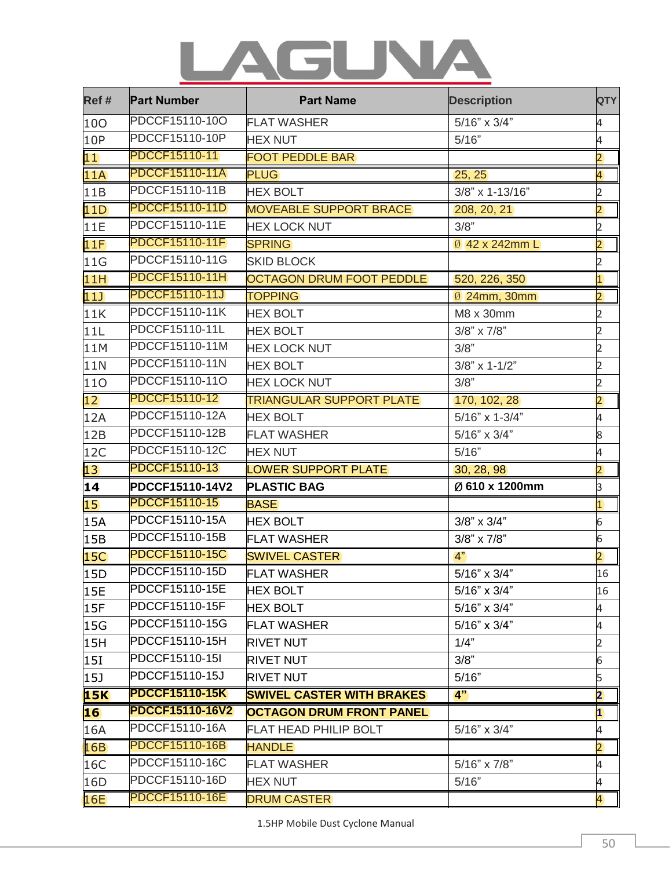## LAGUNA

| Ref #     | <b>Part Number</b>    | <b>Part Name</b>                 | <b>Description</b>  | <b>QTY</b>              |
|-----------|-----------------------|----------------------------------|---------------------|-------------------------|
| 100       | PDCCF15110-10O        | <b>FLAT WASHER</b>               | $5/16" \times 3/4"$ | 4                       |
| 10P       | PDCCF15110-10P        | <b>HEX NUT</b>                   | 5/16"               | 4                       |
| 11        | PDCCF15110-11         | <b>FOOT PEDDLE BAR</b>           |                     | $\overline{2}$          |
| 11A       | <b>PDCCF15110-11A</b> | <b>PLUG</b>                      | 25, 25              | $\overline{4}$          |
| 11B       | PDCCF15110-11B        | <b>HEX BOLT</b>                  | 3/8" x 1-13/16"     | $\overline{c}$          |
| 11D       | <b>PDCCF15110-11D</b> | <b>MOVEABLE SUPPORT BRACE</b>    | 208, 20, 21         | $\overline{2}$          |
| 11E       | PDCCF15110-11E        | <b>HEX LOCK NUT</b>              | 3/8"                | $\overline{c}$          |
| 11F       | <b>PDCCF15110-11F</b> | <b>SPRING</b>                    | 0 42 x 242mm L      | $\overline{2}$          |
| 11G       | PDCCF15110-11G        | <b>SKID BLOCK</b>                |                     | $\overline{2}$          |
| 11H       | <b>PDCCF15110-11H</b> | <b>OCTAGON DRUM FOOT PEDDLE</b>  | 520, 226, 350       | $\overline{1}$          |
| 11        | <b>PDCCF15110-11J</b> | <b>TOPPING</b>                   | 0 24mm, 30mm        | $\overline{2}$          |
| 11K       | PDCCF15110-11K        | <b>HEX BOLT</b>                  | M8 x 30mm           | $\overline{c}$          |
| 11L       | PDCCF15110-11L        | <b>HEX BOLT</b>                  | $3/8$ " x $7/8$ "   | $\overline{2}$          |
| 11M       | PDCCF15110-11M        | <b>HEX LOCK NUT</b>              | 3/8"                | $\overline{2}$          |
| 11N       | PDCCF15110-11N        | <b>HEX BOLT</b>                  | $3/8$ " x 1-1/2"    | $\overline{2}$          |
| 110       | PDCCF15110-11O        | <b>HEX LOCK NUT</b>              | 3/8"                | $\overline{2}$          |
| 12        | PDCCF15110-12         | <b>TRIANGULAR SUPPORT PLATE</b>  | 170, 102, 28        | $\overline{2}$          |
| 12A       | PDCCF15110-12A        | <b>HEX BOLT</b>                  | 5/16" x 1-3/4"      | 4                       |
| 12B       | PDCCF15110-12B        | <b>FLAT WASHER</b>               | $5/16" \times 3/4"$ | 8                       |
| 12C       | PDCCF15110-12C        | <b>HEX NUT</b>                   | 5/16"               | 4                       |
| 13        | PDCCF15110-13         | <b>LOWER SUPPORT PLATE</b>       | 30, 28, 98          | $\overline{2}$          |
| 14        | PDCCF15110-14V2       | <b>PLASTIC BAG</b>               | Ø 610 x 1200mm      | 3                       |
| 15        | PDCCF15110-15         | <b>BASE</b>                      |                     | $\overline{1}$          |
| 15A       | PDCCF15110-15A        | <b>HEX BOLT</b>                  | $3/8$ " x $3/4$ "   | $\overline{6}$          |
| 15B       | PDCCF15110-15B        | <b>FLAT WASHER</b>               | $3/8" \times 7/8"$  | 6                       |
| 15C       | <b>PDCCF15110-15C</b> | <b>SWIVEL CASTER</b>             | 4"                  | $\overline{2}$          |
| 15D       | PDCCF15110-15D        | <b>FLAT WASHER</b>               | 5/16" x 3/4"        | 16                      |
| 15E       | PDCCF15110-15E        | <b>HEX BOLT</b>                  | 5/16" x 3/4"        | 16                      |
| 15F       | PDCCF15110-15F        | <b>HEX BOLT</b>                  | $5/16" \times 3/4"$ | 4                       |
| 15G       | PDCCF15110-15G        | <b>FLAT WASHER</b>               | $5/16" \times 3/4"$ | 4                       |
| 15H       | PDCCF15110-15H        | <b>RIVET NUT</b>                 | 1/4"                | $\overline{2}$          |
| 15I       | PDCCF15110-15I        | <b>RIVET NUT</b>                 | 3/8"                | 6                       |
| 15J       | PDCCF15110-15J        | <b>RIVET NUT</b>                 | 5/16"               | 5                       |
| 15K       | <b>PDCCF15110-15K</b> | <b>SWIVEL CASTER WITH BRAKES</b> | 4"                  | $\overline{\mathbf{2}}$ |
| <b>16</b> | PDCCF15110-16V2       | <b>OCTAGON DRUM FRONT PANEL</b>  |                     | $\overline{\mathbf{1}}$ |
| 16A       | PDCCF15110-16A        | <b>FLAT HEAD PHILIP BOLT</b>     | $5/16" \times 3/4"$ | 4                       |
| 16B       | <b>PDCCF15110-16B</b> | <b>HANDLE</b>                    |                     | $\overline{2}$          |
| 16C       | PDCCF15110-16C        | <b>FLAT WASHER</b>               | $5/16" \times 7/8"$ | 4                       |
| 16D       | PDCCF15110-16D        | <b>HEX NUT</b>                   | 5/16"               | 4                       |
| 16E       | <b>PDCCF15110-16E</b> | <b>DRUM CASTER</b>               |                     | $\overline{4}$          |

1.5HP Mobile Dust Cyclone Manual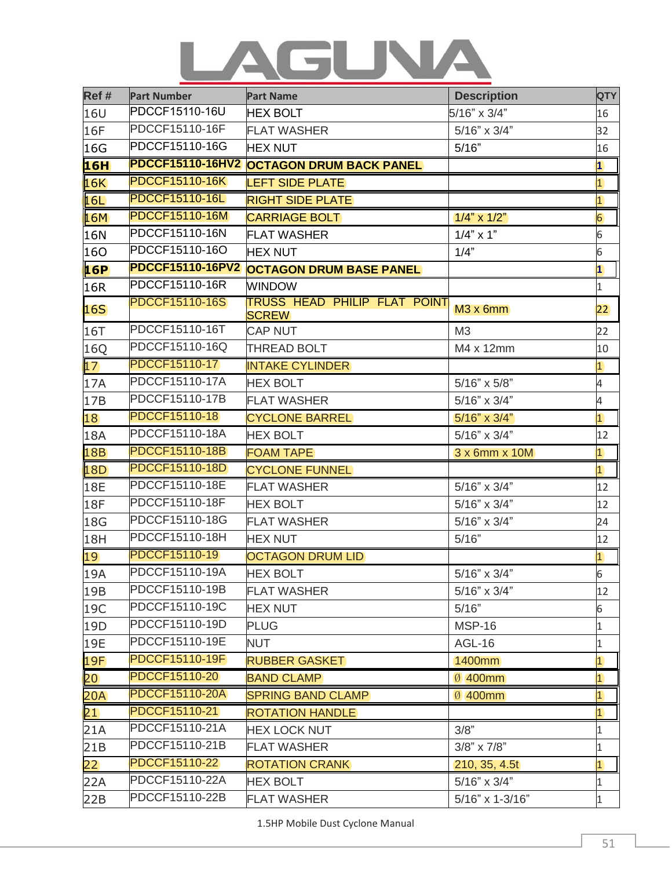## LAGUNA

| Ref #      | <b>Part Number</b>      | <b>Part Name</b>                                    | <b>Description</b>  | <b>QTY</b>              |
|------------|-------------------------|-----------------------------------------------------|---------------------|-------------------------|
| 16U        | PDCCF15110-16U          | <b>HEX BOLT</b>                                     | 5/16" x 3/4"        | 16                      |
| 16F        | PDCCF15110-16F          | <b>FLAT WASHER</b>                                  | $5/16" \times 3/4"$ | 32                      |
| 16G        | PDCCF15110-16G          | <b>HEX NUT</b>                                      | 5/16"               | 16                      |
| 16H        | <b>PDCCF15110-16HV2</b> | <b>OCTAGON DRUM BACK PANEL</b>                      |                     | $\overline{\mathbf{1}}$ |
| 16K        | <b>PDCCF15110-16K</b>   | <b>LEFT SIDE PLATE</b>                              |                     | $\overline{1}$          |
| 16L        | <b>PDCCF15110-16L</b>   | <b>RIGHT SIDE PLATE</b>                             |                     | $\overline{1}$          |
| 16M        | <b>PDCCF15110-16M</b>   | <b>CARRIAGE BOLT</b>                                | $1/4$ " x $1/2$ "   | 6                       |
| 16N        | PDCCF15110-16N          | <b>FLAT WASHER</b>                                  | $1/4$ " x 1"        | 6                       |
| 160        | PDCCF15110-16O          | <b>HEX NUT</b>                                      | 1/4"                | 6                       |
| 16P        | <b>PDCCF15110-16PV2</b> | <b>OCTAGON DRUM BASE PANEL</b>                      |                     | $\overline{\mathbf{1}}$ |
| 16R        | PDCCF15110-16R          | <b>WINDOW</b>                                       |                     | $\mathbf{1}$            |
| 16S        | <b>PDCCF15110-16S</b>   | <b>TRUSS HEAD PHILIP FLAT POINT</b><br><b>SCREW</b> | $M3x$ 6mm           | $ 22\rangle$            |
| 16T        | PDCCF15110-16T          | <b>CAP NUT</b>                                      | M3                  | 22                      |
| 16Q        | PDCCF15110-16Q          | <b>THREAD BOLT</b>                                  | M4 x 12mm           | 10                      |
| 17         | PDCCF15110-17           | <b>INTAKE CYLINDER</b>                              |                     | $\overline{1}$          |
| 17A        | PDCCF15110-17A          | <b>HEX BOLT</b>                                     | 5/16" x 5/8"        | 4                       |
| 17B        | PDCCF15110-17B          | <b>FLAT WASHER</b>                                  | $5/16" \times 3/4"$ | 4                       |
| 18         | <b>PDCCF15110-18</b>    | <b>CYCLONE BARREL</b>                               | $5/16" \times 3/4"$ | $\overline{1}$          |
| 18A        | PDCCF15110-18A          | <b>HEX BOLT</b>                                     | $5/16" \times 3/4"$ | 12                      |
| <b>18B</b> | <b>PDCCF15110-18B</b>   | <b>FOAM TAPE</b>                                    | $3x$ 6mm $x$ 10M    | $\overline{1}$          |
| 18D        | <b>PDCCF15110-18D</b>   | <b>CYCLONE FUNNEL</b>                               |                     | $\overline{1}$          |
| <b>18E</b> | PDCCF15110-18E          | <b>FLAT WASHER</b>                                  | $5/16" \times 3/4"$ | 12                      |
| <b>18F</b> | PDCCF15110-18F          | <b>HEX BOLT</b>                                     | $5/16" \times 3/4"$ | 12                      |
| 18G        | PDCCF15110-18G          | <b>FLAT WASHER</b>                                  | 5/16" x 3/4"        | 24                      |
| 18H        | PDCCF15110-18H          | <b>HEX NUT</b>                                      | 5/16"               | 12                      |
| 19         | PDCCF15110-19           | <b>OCTAGON DRUM LID</b>                             |                     | $\overline{1}$          |
| 19A        | PDCCF15110-19A          | <b>HEX BOLT</b>                                     | 5/16" x 3/4"        | $6\overline{6}$         |
| 19B        | PDCCF15110-19B          | <b>FLAT WASHER</b>                                  | $5/16" \times 3/4"$ | 12                      |
| 19C        | PDCCF15110-19C          | <b>HEX NUT</b>                                      | 5/16"               | 6                       |
| 19D        | PDCCF15110-19D          | <b>PLUG</b>                                         | <b>MSP-16</b>       | 1                       |
| 19E        | PDCCF15110-19E          | <b>NUT</b>                                          | <b>AGL-16</b>       | $\mathbf{1}$            |
| 19F        | <b>PDCCF15110-19F</b>   | <b>RUBBER GASKET</b>                                | 1400mm              | $\overline{\mathbf{1}}$ |
| 20         | PDCCF15110-20           | <b>BAND CLAMP</b>                                   | Ø 400mm             | $\overline{1}$          |
| 20A        | <b>PDCCF15110-20A</b>   | <b>SPRING BAND CLAMP</b>                            | Ø 400mm             | $\overline{1}$          |
| 21         | PDCCF15110-21           | <b>ROTATION HANDLE</b>                              |                     | $\overline{\mathbf{1}}$ |
| 21A        | PDCCF15110-21A          | <b>HEX LOCK NUT</b>                                 | 3/8"                | 1                       |
| 21B        | PDCCF15110-21B          | <b>FLAT WASHER</b>                                  | $3/8" \times 7/8"$  | $\mathbf{1}$            |
| 22         | PDCCF15110-22           | <b>ROTATION CRANK</b>                               | 210, 35, 4.5t       | $\overline{1}$          |
| 22A        | PDCCF15110-22A          | <b>HEX BOLT</b>                                     | $5/16" \times 3/4"$ | $\mathbf{1}$            |
| 22B        | PDCCF15110-22B          | <b>FLAT WASHER</b>                                  | 5/16" x 1-3/16"     | $\mathbf{1}$            |

1.5HP Mobile Dust Cyclone Manual